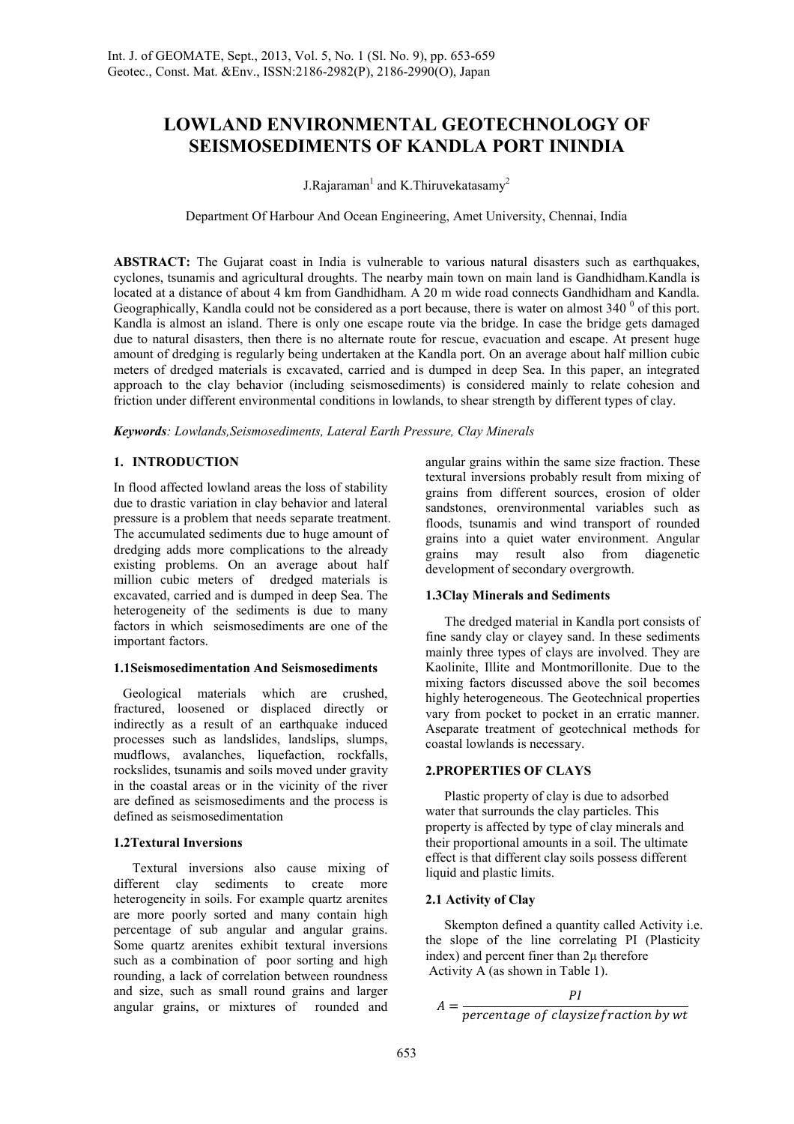# **LOWLAND ENVIRONMENTAL GEOTECHNOLOGY OF SEISMOSEDIMENTS OF KANDLA PORT ININDIA**

J.Rajaraman<sup>1</sup> and K.Thiruvekatasamy<sup>2</sup>

Department Of Harbour And Ocean Engineering, Amet University, Chennai, India

**ABSTRACT:** The Gujarat coast in India is vulnerable to various natural disasters such as earthquakes, cyclones, tsunamis and agricultural droughts. The nearby main town on main land is Gandhidham.Kandla is located at a distance of about 4 km from Gandhidham. A 20 m wide road connects Gandhidham and Kandla. Geographically, Kandla could not be considered as a port because, there is water on almost  $340^{\degree}$  of this port. Kandla is almost an island. There is only one escape route via the bridge. In case the bridge gets damaged due to natural disasters, then there is no alternate route for rescue, evacuation and escape. At present huge amount of dredging is regularly being undertaken at the Kandla port. On an average about half million cubic meters of dredged materials is excavated, carried and is dumped in deep Sea. In this paper, an integrated approach to the clay behavior (including seismosediments) is considered mainly to relate cohesion and friction under different environmental conditions in lowlands, to shear strength by different types of clay.

*Keywords: Lowlands,Seismosediments, Lateral Earth Pressure, Clay Minerals* 

# **1. INTRODUCTION**

In flood affected lowland areas the loss of stability due to drastic variation in clay behavior and lateral pressure is a problem that needs separate treatment. The accumulated sediments due to huge amount of dredging adds more complications to the already existing problems. On an average about half million cubic meters of dredged materials is excavated, carried and is dumped in deep Sea. The heterogeneity of the sediments is due to many factors in which seismosediments are one of the important factors.

# **1.1Seismosedimentation And Seismosediments**

Geological materials which are crushed, fractured, loosened or displaced directly or indirectly as a result of an earthquake induced processes such as landslides, landslips, slumps, mudflows, avalanches, liquefaction, rockfalls, rockslides, tsunamis and soils moved under gravity in the coastal areas or in the vicinity of the river are defined as seismosediments and the process is defined as seismosedimentation

# **1.2Textural Inversions**

Textural inversions also cause mixing of different clay sediments to create more heterogeneity in soils. For example quartz arenites are more poorly sorted and many contain high percentage of sub angular and angular grains. Some quartz arenites exhibit textural inversions such as a combination of poor sorting and high rounding, a lack of correlation between roundness and size, such as small round grains and larger angular grains, or mixtures of rounded and angular grains within the same size fraction. These textural inversions probably result from mixing of grains from different sources, erosion of older sandstones, orenvironmental variables such as floods, tsunamis and wind transport of rounded grains into a quiet water environment. Angular grains may result also from diagenetic development of secondary overgrowth.

# **1.3Clay Minerals and Sediments**

The dredged material in Kandla port consists of fine sandy clay or clayey sand. In these sediments mainly three types of clays are involved. They are Kaolinite, Illite and Montmorillonite. Due to the mixing factors discussed above the soil becomes highly heterogeneous. The Geotechnical properties vary from pocket to pocket in an erratic manner. Aseparate treatment of geotechnical methods for coastal lowlands is necessary.

# **2.PROPERTIES OF CLAYS**

Plastic property of clay is due to adsorbed water that surrounds the clay particles. This property is affected by type of clay minerals and their proportional amounts in a soil. The ultimate effect is that different clay soils possess different liquid and plastic limits.

# **2.1 Activity of Clay**

Skempton defined a quantity called Activity i.e. the slope of the line correlating PI (Plasticity index) and percent finer than 2µ therefore Activity A (as shown in Table 1).

$$
A = \frac{PI}{percentage \ of \ classize fraction \ by \ wt}
$$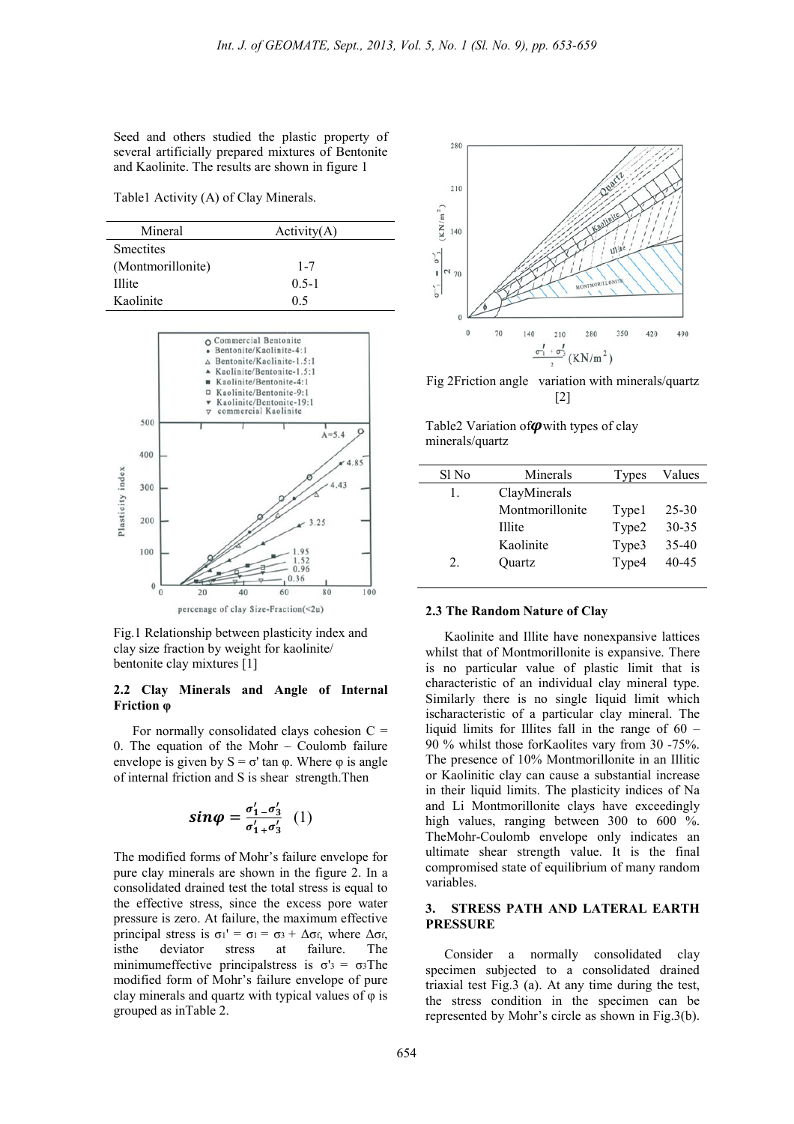Seed and others studied the plastic property of several artificially prepared mixtures of Bentonite and Kaolinite. The results are shown in figure 1 ared mixtures<br>Its are shown ir<br>Clay Minerals.

Table1 Activity (A) of Clay Minerals

| Mineral           | Activity(A) |  |
|-------------------|-------------|--|
| <b>Smectites</b>  |             |  |
| (Montmorillonite) | $1 - 7$     |  |
| Illite            | $0.5 - 1$   |  |
| Kaolinite         | 0.5         |  |



Fig.1 Relationship between plasticity index and clay size fraction by weight for kaolinite/ bentonite clay mixtures [1]

#### **2.2 Clay Minerals and Angle of Internal Friction φ**

For normally consolidated clays cohesion  $C =$ 0. The equation of the Mohr – – Coulomb failure envelope is given by  $S = \sigma'$  tan  $\varphi$ . Where  $\varphi$  is angle of internal friction and S is shear strength.Then

$$
\sin \varphi = \frac{\sigma_1' - \sigma_3'}{\sigma_1' + \sigma_3'} \quad (1)
$$

The modified forms of Mohr's failure envelope for pure clay minerals are shown in the figure 2. In a consolidated drained test the total stress is equal to the effective stress, since the excess pore water pressure is zero. At failure, the maximum effective principal stress is  $\sigma_1' = \sigma_1 = \sigma_3 + \Delta \sigma_f$ , where  $\Delta \sigma_f$ , isthe deviator stress at failure. The minimumeffective principalstress is  $\sigma' = \sigma^3$ The modified form of Mohr's failure envelope of pure clay minerals and quartz with typical values of  $\varphi$  is grouped as inTable 2.



Fig 2Friction angle variation with minerals/quartz [2]

Table2 Variation of  $\boldsymbol{\varphi}$  with types of clay minerals/quartz

| Sl No | Minerals        | Types | Values    |
|-------|-----------------|-------|-----------|
| 1.    | ClayMinerals    |       |           |
|       | Montmorillonite | Typel | 25-30     |
|       | Illite          | Type2 | $30 - 35$ |
|       | Kaolinite       | Type3 | 35-40     |
| 2.    | Ouartz          | Type4 | 40-45     |
|       |                 |       |           |

#### **2.3 The Random Nature of Clay**

Kaolinite and Illite have nonexpansive lattices whilst that of Montmorillonite is expansive. There is no particular value of plastic limit that is characteristic of an individual clay mineral type. Similarly there is no single liquid limit which ischaracteristic of a particular clay mineral. The liquid limits for Illites fall in the range of  $60 -$ 90 % whilst those forKaolites vary from 30 -75%. The presence of 10% Montmorillonite in an Illitic or Kaolinitic clay can cause a substantial increase in their liquid limits. The plasticity indices of Na and Li Montmorillonite clays have exceedingly high values, ranging between 300 to 600 %. TheMohr-Coulomb envelope only indicates an ultimate shear strength value. It is the final compromised state of equilibrium of many random variables. ohr-Coulomb envelope only indicates an<br>te shear strength value. It is the final<br>omised state of equilibrium of many random<br>les.<br>**TRESS PATH AND LATERAL EARTH**<br>**SURE**<br>nsider a normally consolidated clay<br>nen subjected to a c

#### **3. STRESS PATH AND LATERAL EARTH PRESSURE**

Consider a normally consolidated clay specimen subjected to a consolidated drained triaxial test Fig.3 (a). At any time during the test, the stress condition in the specimen can be triaxial test Fig.3 (a). At any time during the test, the stress condition in the specimen can be represented by Mohr's circle as shown in Fig.3(b).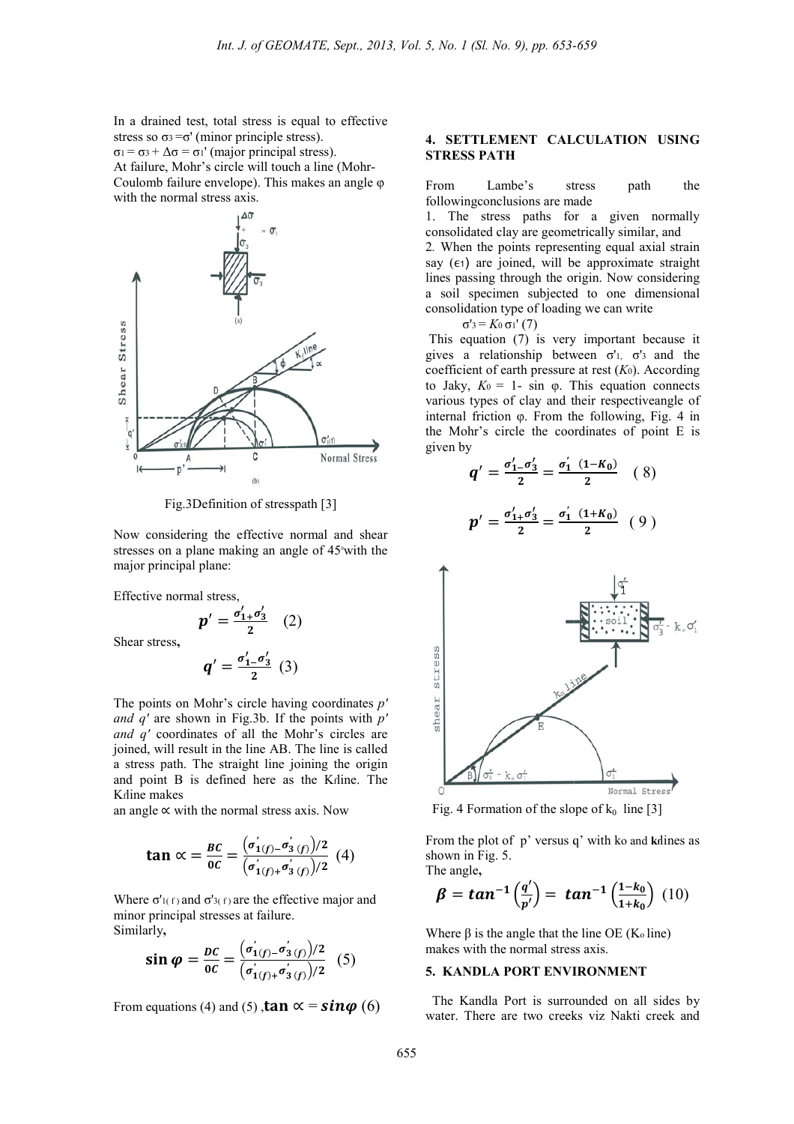In a drained test, total stress is equal to effective stress so  $\sigma_3 = \sigma'$  (minor principle stress).  $σ<sub>1</sub> = σ<sub>3</sub> + Δσ = σ<sub>1</sub>' (major principal stress).$ At failure, Mohr's circle will touch a line (Mohr (Mohr-Coulomb failure envelope). This makes an angle φ with the normal stress axis.



Fig.3Definition of stresspath [3]

Now considering the effective normal and shear stresses on a plane making an angle of 45° with the major principal plane:

Effective normal stress,

Shear stress**,** 

$$
p' = \frac{\sigma'_{1+} \sigma'_{3}}{2} \quad (2)
$$

$$
q' = \frac{\sigma'_{1-} \sigma'_{3}}{2} \quad (3)
$$

The points on Mohr's circle having coordinates *p'*  and  $q'$  are shown in Fig.3b. If the points with  $p'$ *and q'* coordinates of all the Mohr's circles are joined, will result in the line AB. The line is called a stress path. The straight line joining the origin and point B is defined here as the K <sup>f</sup>line. The Kfline makes

an angle  $\propto$  with the normal stress axis. Now

$$
\tan \alpha = \frac{BC}{0C} = \frac{(\sigma'_{1(f)} - \sigma'_{3(f)})/2}{(\sigma'_{1(f)} + \sigma'_{3(f)})/2} \tag{4}
$$

Where  $\sigma'$ <sup>1(f)</sup> and  $\sigma'$ <sup>3(f)</sup> are the effective major and minor principal stresses at failure. Similarly**,** 

$$
\sin \varphi = \frac{bc}{oc} = \frac{(\sigma'_{1(f)} - \sigma'_{3(f)})/2}{(\sigma'_{1(f)} + \sigma'_{3(f)})/2} \quad (5)
$$

From equations (4) and (5),  $\tan \alpha = \sin \varphi$  (6)

#### **4. SETTLEMENT CALCULATION USING STRESS PATH**

From Lambe's stress path the followingconclusions are made

1. The stress paths for a given normally consolidated clay are geometrically similar, and 2*.* When the points representing equal axial strain say  $(\epsilon_1)$  are joined, will be approximate straight lines passing through the origin. Now considering a soil specimen subjected to one dimensional consolidation type of loading we can write

σ'3 = *K*0 σ1' (7)

This equation (7) is very important because it gives a relationship between  $\sigma'$ <sup>1</sup>,  $\sigma'$ <sup>3</sup> and the coefficient of earth pressure at rest ( *K*0). According to Jaky,  $K_0 = 1$ - sin  $φ$ . This equation connects various types of clay and their respectiveangle of internal friction  $\varphi$ . From the following, Fig. 4 in the Mohr's circle the coordinates of point  $E$  is given by

$$
q' = \frac{\sigma'_1 - \sigma'_3}{2} = \frac{\sigma'_1 (1 - K_0)}{2} \quad (8)
$$

$$
p' = \frac{\sigma'_1 + \sigma'_3}{2} = \frac{\sigma'_1 (1 + K_0)}{2} \quad (9)
$$



Fig. 4 Formation of the slope of  $k_0$  line [3]

From the plot of p' versus q' with k o and **kf**lines as shown in Fig. 5. The angle**,** 

$$
\beta = \tan^{-1}\left(\frac{q'}{p'}\right) = \tan^{-1}\left(\frac{1-k_0}{1+k_0}\right) (10)
$$

Where  $\beta$  is the angle that the line OE (K<sub>o</sub> line) makes with the normal stress axis.

# **5. KANDLA PORT ENVIRONMENT**

 The Kandla Port is surrounded on all sides by water. There are two creeks viz Nakti creek and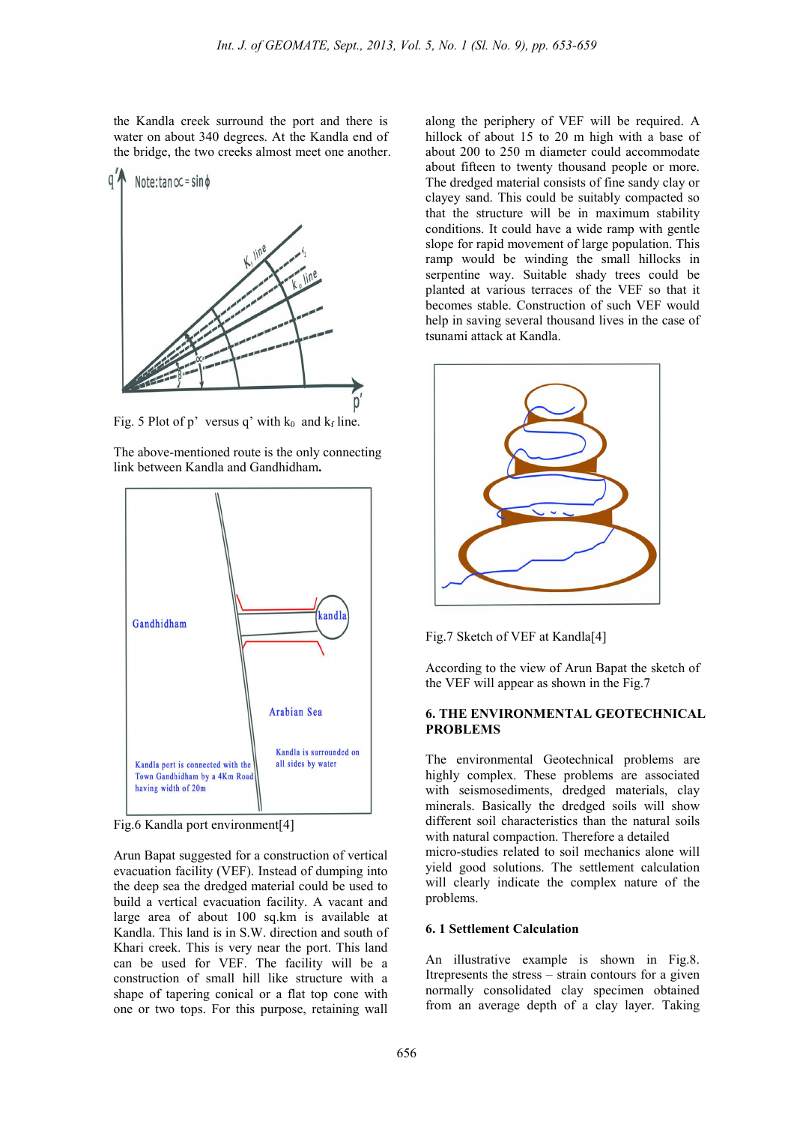the Kandla creek surround the port and there is water on about 340 degrees. At the Kandla end of the bridge, the two creeks almost meet one another.



Fig. 5 Plot of p' versus q' with  $k_0$  and  $k_f$  line.

The above-mentioned route is the only connecting link between Kandla and Gandhidham**.** 



Fig.6 Kandla port environment[4]

Arun Bapat suggested for a construction of vertical evacuation facility (VEF). Instead of dumping into the deep sea the dredged material could be used to build a vertical evacuation facility. A vacant and large area of about 100 sq.km is available at Kandla. This land is in S.W. direction and south of Khari creek. This is very near the port. This land can be used for VEF. The facility will be a construction of small hill like structure with a shape of tapering conical or a flat top cone with one or two tops. For this purpose, retaining wall

along the periphery of VEF will be required. A hillock of about 15 to 20 m high with a base of about 200 to 250 m diameter could accommodate about fifteen to twenty thousand people or more. The dredged material consists of fine sandy clay or clayey sand. This could be suitably compacted so that the structure will be in maximum stability conditions. It could have a wide ramp with gentle slope for rapid movement of large population. This ramp would be winding the small hillocks in serpentine way. Suitable shady trees could be planted at various terraces of the VEF so that it becomes stable. Construction of such VEF would help in saving several thousand lives in the case of tsunami attack at Kandla.



Fig.7 Sketch of VEF at Kandla<sup>[4]</sup>

According to the view of Arun Bapat the sketch of the VEF will appear as shown in the Fig.7

#### **6. THE ENVIRONMENTAL GEOTECHNICAL PROBLEMS**

The environmental Geotechnical problems are highly complex. These problems are associated with seismosediments, dredged materials, clay minerals. Basically the dredged soils will show different soil characteristics than the natural soils with natural compaction. Therefore a detailed micro-studies related to soil mechanics alone will yield good solutions. The settlement calculation will clearly indicate the complex nature of the problems.

## **6. 1 Settlement Calculation**

An illustrative example is shown in Fig.8. Itrepresents the stress – strain contours for a given normally consolidated clay specimen obtained from an average depth of a clay layer. Taking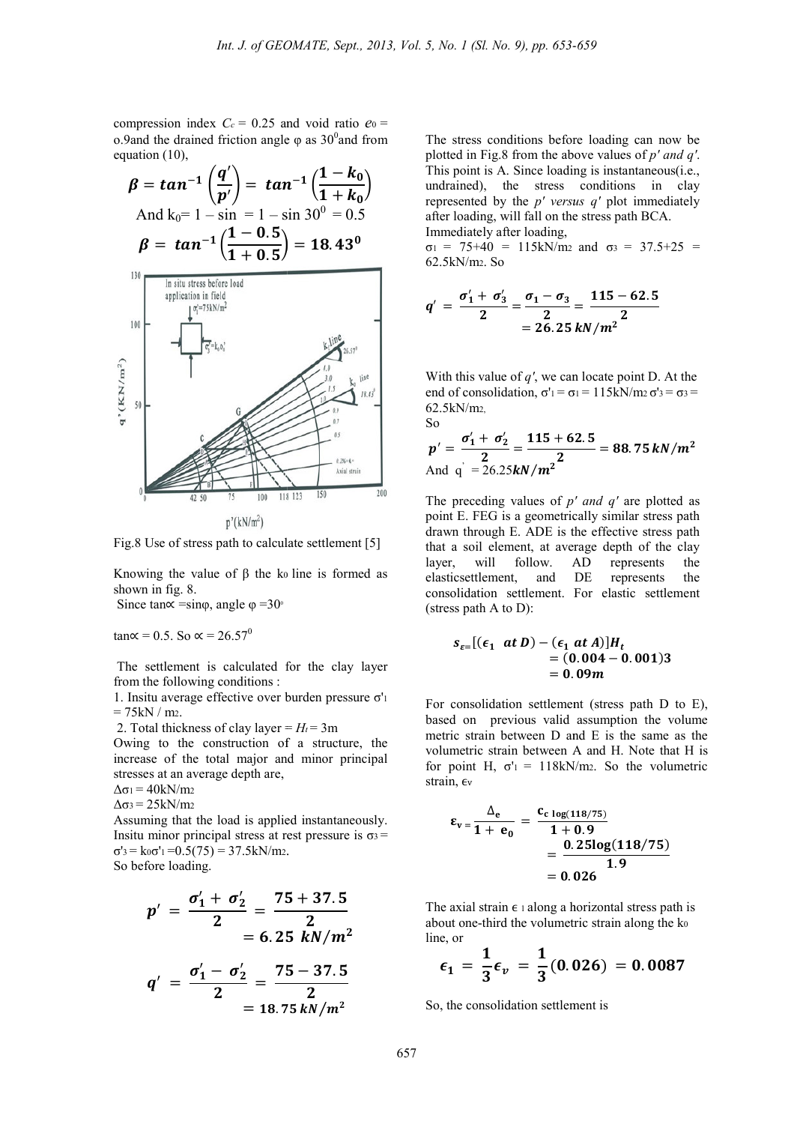compression index  $C_c = 0.25$  and void ratio  $e_0 =$ o.9and the drained friction angle  $φ$  as 30<sup>0</sup> and from equation (10),

$$
\beta = \tan^{-1} \left( \frac{q'}{p'} \right) = \tan^{-1} \left( \frac{1 - k_0}{1 + k_0} \right)
$$
  
\nAnd k<sub>0</sub> = 1 - sin = 1 - sin 30<sup>0</sup> = 0.5  
\n
$$
\beta = \tan^{-1} \left( \frac{1 - 0.5}{1 + 0.5} \right) = 18.43^0
$$
  
\n<sup>130</sup>  
\n
$$
\frac{\ln \text{ situ stress before load}}{\ln \left( \frac{\int_{0}^{\sigma_1^2 - 75kN/m^2}}{\sigma_2^2 + k_0 \right)^2}}
$$



Fig.8 Use of stress path to calculate settlement [5]

Knowing the value of  $\beta$  the ko line is formed as shown in fig. 8.

Since tan∝ =sin $\varphi$ , angle  $\varphi$  =30<sup>o</sup>

tan∝ = 0.5. So  $\alpha$  = 26.57<sup>0</sup>

The settlement is calculated for the clay layer from the following conditions :

1. Insitu average effective over burden pressure σ' 1  $= 75kN/m<sub>2</sub>$ 

2. Total thickness of clay layer  $= H_t = 3m$ 

Owing to the construction of a structure, the increase of the total major and minor principal stresses at an average depth are,

$$
\Delta \sigma_1 = 40 \, \text{kN/m2}
$$

 $Δσ<sub>3</sub> = 25kN/m<sub>2</sub>$ 

Assuming that the load is applied instantaneously. Insitu minor principal stress at rest pressure is  $\sigma_3 =$  $\sigma$ '<sub>3</sub> = k<sub>0</sub> $\sigma$ '<sub>1</sub> = 0.5(75) = 37.5kN/m<sub>2</sub>.

So before loading.

$$
p' = \frac{\sigma'_1 + \sigma'_2}{2} = \frac{75 + 37.5}{2}
$$
  
= 6.25 *kN*/m<sup>2</sup>

$$
q' = \frac{\sigma'_1 - \sigma'_2}{2} = \frac{75 - 37.5}{2}
$$
  
= 18.75 kN/m<sup>2</sup>

The stress conditions before loading can now be plotted in Fig.8 from the above values of  $p'$  *and q'*. This point is A. Since loading is instantaneous $(i.e.,$ undrained), the stress conditions in clay represented by the *p' versus q'*  plot immediately after loading, will fall on the stress path BCA. Immediately after loading,

 $\sigma_1$  = 75+40 = 115kN/m<sub>2</sub> and  $\sigma_3$  = 37.5+25 = 62.5kN/m2. So

$$
q' = \frac{\sigma_1' + \sigma_3'}{2} = \frac{\sigma_1 - \sigma_3}{2} = \frac{115 - 62.5}{2}
$$
  
= 26.25 *kN/m*<sup>2</sup>

With this value of *q'*, we can locate point D. At the end of consolidation,  $\sigma' = \sigma = 115 \text{kN/m}$  $\sigma' = \sigma =$ 62.5kN/m2, So

$$
p' = \frac{\sigma_1' + \sigma_2'}{2} = \frac{115 + 62.5}{2} = 88.75 \, kN/m^2
$$
  
And q' = 26.25 kN/m<sup>2</sup>

The preceding values of  $p'$  *and*  $q'$  are plotted as point E. FEG is a geometrically similar stress path drawn through E. ADE is the effective stress path that a soil element, at average depth of the clay<br>layer, will follow. AD represents the represents the elasticsettlement, and DE represents the consolidation settlement. For elastic settlement (stress path A to D):

$$
S_{\varepsilon=}[(\varepsilon_1 \ \text{at} \ D) - (\varepsilon_1 \ \text{at} \ A)]H_t
$$
  
= (0.004 - 0.001)3  
= 0.09m

For consolidation settlement (stress path D to E), For consolidation settlement (stress path D to E), based on previous valid assumption the volume metric strain between D and E is the same as the volumetric strain between A and H. Note that H is for point H,  $\sigma' = 118kN/m$ . So the volumetric strain, ev

$$
\varepsilon_{v} = \frac{\Delta_e}{1 + e_0} = \frac{c_{c \log(118/75)}}{1 + 0.9} = \frac{0.25\log(118/75)}{1.9} = 0.026
$$

The axial strain  $\epsilon$  1 along a horizontal stress path is about one-third the volumetric strain along the ko line, or

$$
\epsilon_1 = \frac{1}{3} \epsilon_v = \frac{1}{3} (0.026) = 0.0087
$$

So, the consolidation settlement is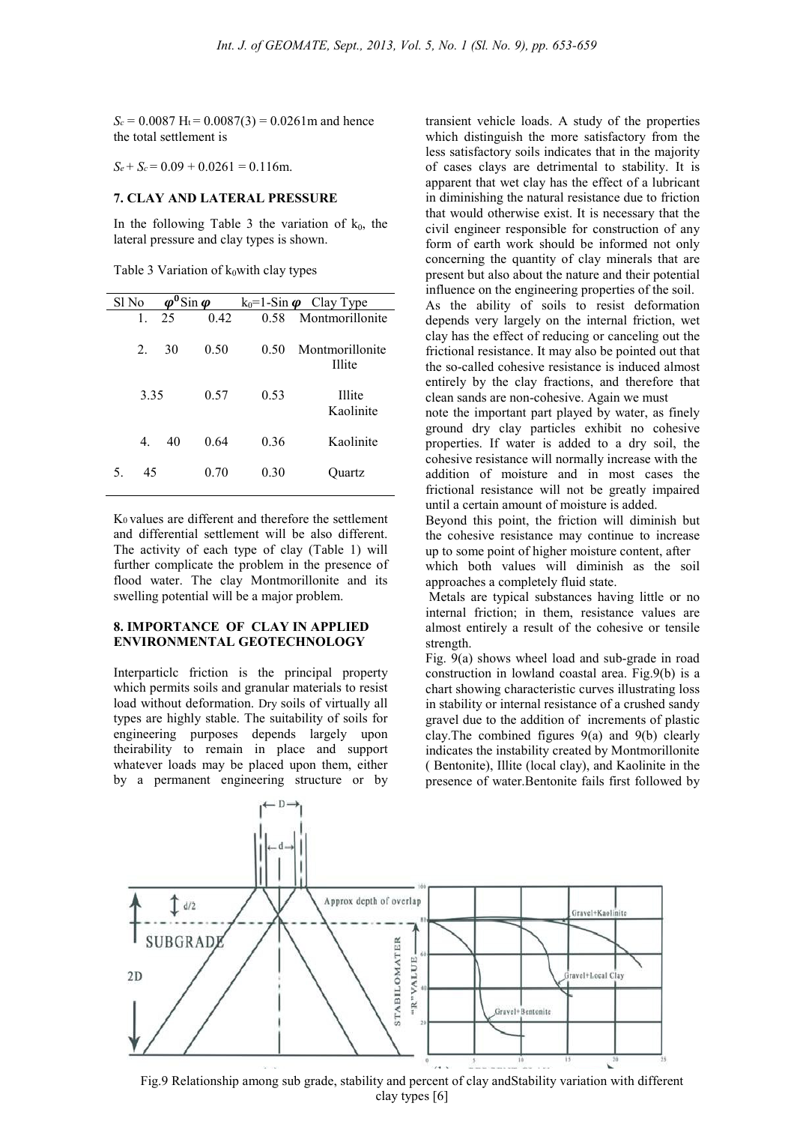$S_c = 0.0087$  H<sub>t</sub> = 0.0087(3) = 0.0261m and hence the total settlement is

 $S_e + S_c = 0.09 + 0.0261 = 0.116$ m.

#### **7. CLAY AND LATERAL PRESSURE**

In the following Table 3 the variation of  $k_0$ , the lateral pressure and clay types is shown.

Table 3 Variation of  $k_0$  with clay types

| Sl No    | $\varphi^0$ Sin $\varphi$ |      |      | $k_0$ =1-Sin $\boldsymbol{\varphi}$ Clay Type |
|----------|---------------------------|------|------|-----------------------------------------------|
| 1.       | 25                        | 0.42 | 0.58 | Montmorillonite                               |
| $2_{-}$  | 30                        | 0.50 | 0.50 | Montmorillonite<br><b>Illite</b>              |
| 3.35     |                           | 0.57 | 0.53 | <b>Illite</b><br>Kaolinite                    |
| 4.       | 40                        | 0.64 | 0.36 | Kaolinite                                     |
| 45<br>5. |                           | 0.70 | 0.30 | Ouartz                                        |

K0 values are different and therefore the settlement and differential settlement will be also different. The activity of each type of clay (Table 1) will further complicate the problem in the presence of flood water. The clay Montmorillonite and its swelling potential will be a major problem.

### **8. IMPORTANCE OF CLAY IN APPLIED ENVIRONMENTAL GEOTECHNOLOGY**

Interparticlc friction is the principal property which permits soils and granular materials to resist load without deformation. Dry soils of virtually all types are highly stable. The suitability of soils for engineering purposes depends largely upon theirability to remain in place and support whatever loads may be placed upon them, either by a permanent engineering structure or by

transient vehicle loads. A study of the properties which distinguish the more satisfactory from the less satisfactory soils indicates that in the majority of cases clays are detrimental to stability. It is apparent that wet clay has the effect of a lubricant in diminishing the natural resistance due to friction that would otherwise exist. It is necessary that the civil engineer responsible for construction of any form of earth work should be informed not only concerning the quantity of clay minerals that are present but also about the nature and their potential influence on the engineering properties of the soil.

As the ability of soils to resist deformation depends very largely on the internal friction, wet clay has the effect of reducing or canceling out the frictional resistance. It may also be pointed out that the so-called cohesive resistance is induced almost entirely by the clay fractions, and therefore that clean sands are non-cohesive. Again we must

note the important part played by water, as finely ground dry clay particles exhibit no cohesive properties. If water is added to a dry soil, the cohesive resistance will normally increase with the addition of moisture and in most cases the frictional resistance will not be greatly impaired until a certain amount of moisture is added.

Beyond this point, the friction will diminish but the cohesive resistance may continue to increase up to some point of higher moisture content, after

which both values will diminish as the soil approaches a completely fluid state.

 Metals are typical substances having little or no internal friction; in them, resistance values are almost entirely a result of the cohesive or tensile strength.

Fig. 9(a) shows wheel load and sub-grade in road construction in lowland coastal area. Fig.9(b) is a chart showing characteristic curves illustrating loss in stability or internal resistance of a crushed sandy gravel due to the addition of increments of plastic clay.The combined figures 9(a) and 9(b) clearly indicates the instability created by Montmorillonite ( Bentonite), Illite (local clay), and Kaolinite in the presence of water.Bentonite fails first followed by



Fig.9 Relationship among sub grade, stability and percent of clay andStability variation with different clay types [6]